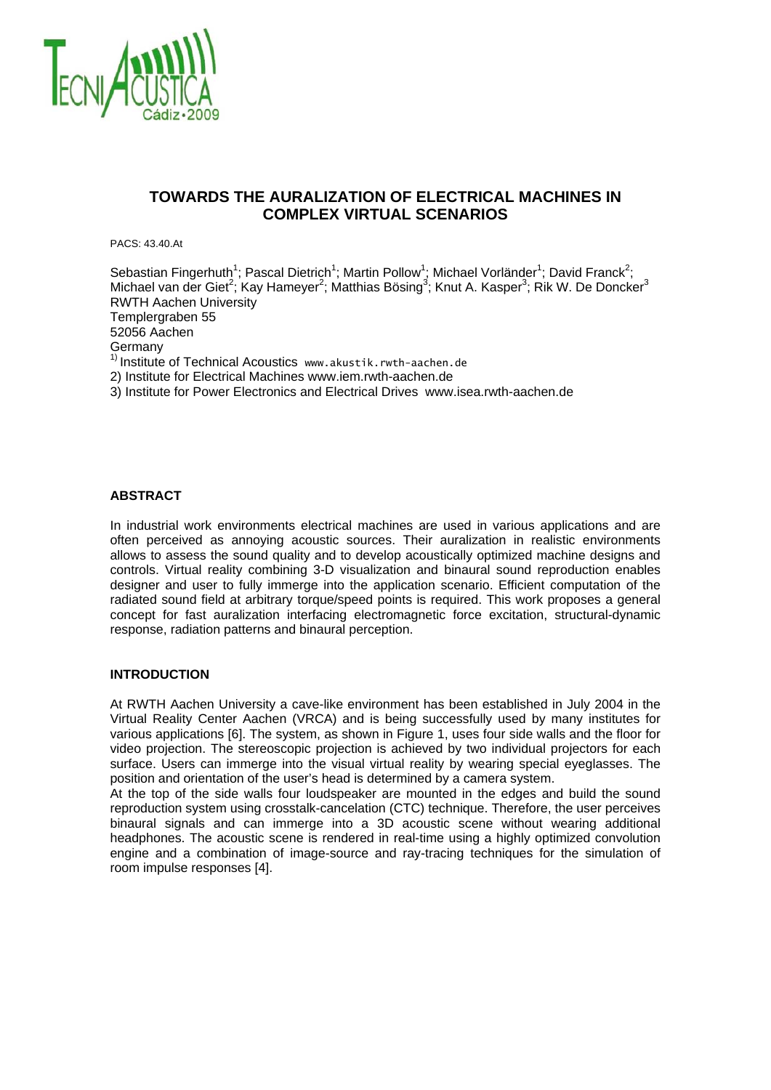

# **TOWARDS THE AURALIZATION OF ELECTRICAL MACHINES IN COMPLEX VIRTUAL SCENARIOS**

PACS: 43.40.At

Sebastian Fingerhuth<sup>1</sup>; Pascal Dietrich<sup>1</sup>; Martin Pollow<sup>1</sup>; Michael Vorländer<sup>1</sup>; David Franck<sup>2</sup>; Michael van der Giet<sup>2</sup>; Kay Hameyer<sup>2</sup>; Matthias Bösing<sup>3</sup>; Knut A. Kasper<sup>3</sup>; Rik W. De Doncker<sup>3</sup> RWTH Aachen University Templergraben 55 52056 Aachen Germany  $1)$  Institute of Technical Acoustics www.akustik.rwth-aachen.de 2) Institute for Electrical Machines www.iem.rwth-aachen.de 3) Institute for Power Electronics and Electrical Drives www.isea.rwth-aachen.de

#### **ABSTRACT**

In industrial work environments electrical machines are used in various applications and are often perceived as annoying acoustic sources. Their auralization in realistic environments allows to assess the sound quality and to develop acoustically optimized machine designs and controls. Virtual reality combining 3-D visualization and binaural sound reproduction enables designer and user to fully immerge into the application scenario. Efficient computation of the radiated sound field at arbitrary torque/speed points is required. This work proposes a general concept for fast auralization interfacing electromagnetic force excitation, structural-dynamic response, radiation patterns and binaural perception.

## **INTRODUCTION**

At RWTH Aachen University a cave-like environment has been established in July 2004 in the Virtual Reality Center Aachen (VRCA) and is being successfully used by many institutes for various applications [6]. The system, as shown in Figure 1, uses four side walls and the floor for video projection. The stereoscopic projection is achieved by two individual projectors for each surface. Users can immerge into the visual virtual reality by wearing special eyeglasses. The position and orientation of the user's head is determined by a camera system.

At the top of the side walls four loudspeaker are mounted in the edges and build the sound reproduction system using crosstalk-cancelation (CTC) technique. Therefore, the user perceives binaural signals and can immerge into a 3D acoustic scene without wearing additional headphones. The acoustic scene is rendered in real-time using a highly optimized convolution engine and a combination of image-source and ray-tracing techniques for the simulation of room impulse responses [4].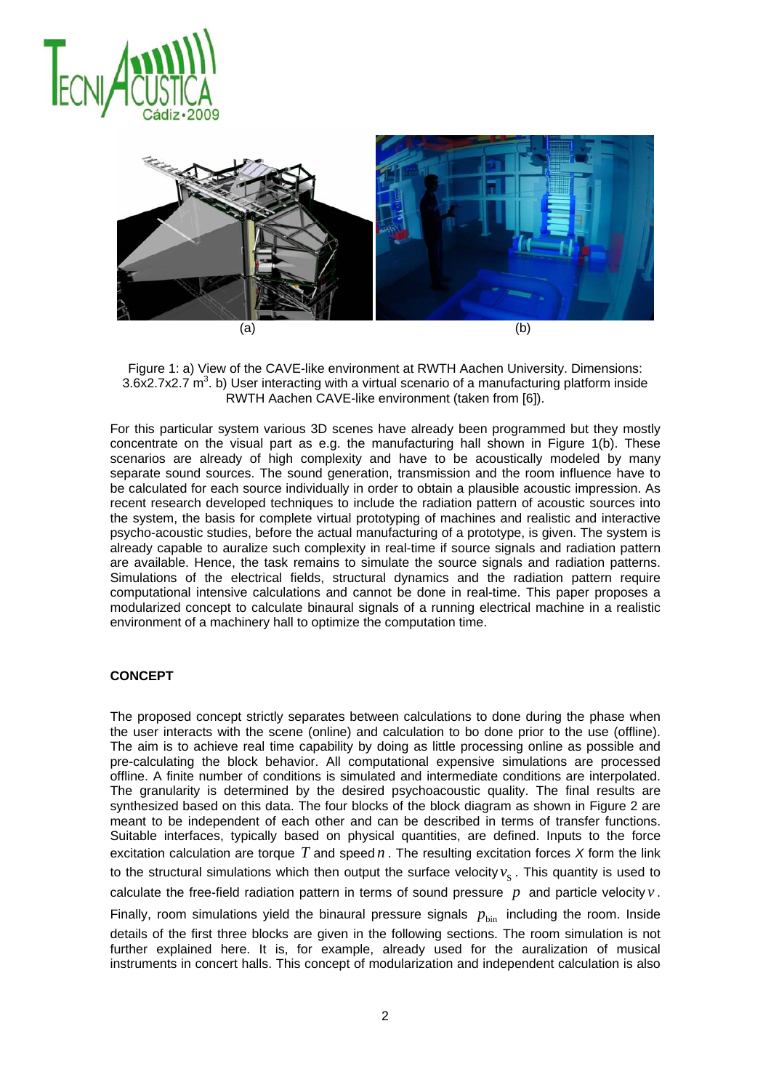



Figure 1: a) View of the CAVE-like environment at RWTH Aachen University. Dimensions:  $3.6x2.7x2.7 m<sup>3</sup>$ . b) User interacting with a virtual scenario of a manufacturing platform inside RWTH Aachen CAVE-like environment (taken from [6]).

For this particular system various 3D scenes have already been programmed but they mostly concentrate on the visual part as e.g. the manufacturing hall shown in Figure 1(b). These scenarios are already of high complexity and have to be acoustically modeled by many separate sound sources. The sound generation, transmission and the room influence have to be calculated for each source individually in order to obtain a plausible acoustic impression. As recent research developed techniques to include the radiation pattern of acoustic sources into the system, the basis for complete virtual prototyping of machines and realistic and interactive psycho-acoustic studies, before the actual manufacturing of a prototype, is given. The system is already capable to auralize such complexity in real-time if source signals and radiation pattern are available. Hence, the task remains to simulate the source signals and radiation patterns. Simulations of the electrical fields, structural dynamics and the radiation pattern require computational intensive calculations and cannot be done in real-time. This paper proposes a modularized concept to calculate binaural signals of a running electrical machine in a realistic environment of a machinery hall to optimize the computation time.

## **CONCEPT**

The proposed concept strictly separates between calculations to done during the phase when the user interacts with the scene (online) and calculation to bo done prior to the use (offline). The aim is to achieve real time capability by doing as little processing online as possible and pre-calculating the block behavior. All computational expensive simulations are processed offline. A finite number of conditions is simulated and intermediate conditions are interpolated. The granularity is determined by the desired psychoacoustic quality. The final results are synthesized based on this data. The four blocks of the block diagram as shown in Figure 2 are meant to be independent of each other and can be described in terms of transfer functions. Suitable interfaces, typically based on physical quantities, are defined. Inputs to the force excitation calculation are torque *T* and speed *n* . The resulting excitation forces *X* form the link to the structural simulations which then output the surface velocity  $v_s$ . This quantity is used to calculate the free-field radiation pattern in terms of sound pressure *p* and particle velocity *v* .

Finally, room simulations yield the binaural pressure signals  $p_{\text{bin}}$  including the room. Inside details of the first three blocks are given in the following sections. The room simulation is not further explained here. It is, for example, already used for the auralization of musical instruments in concert halls. This concept of modularization and independent calculation is also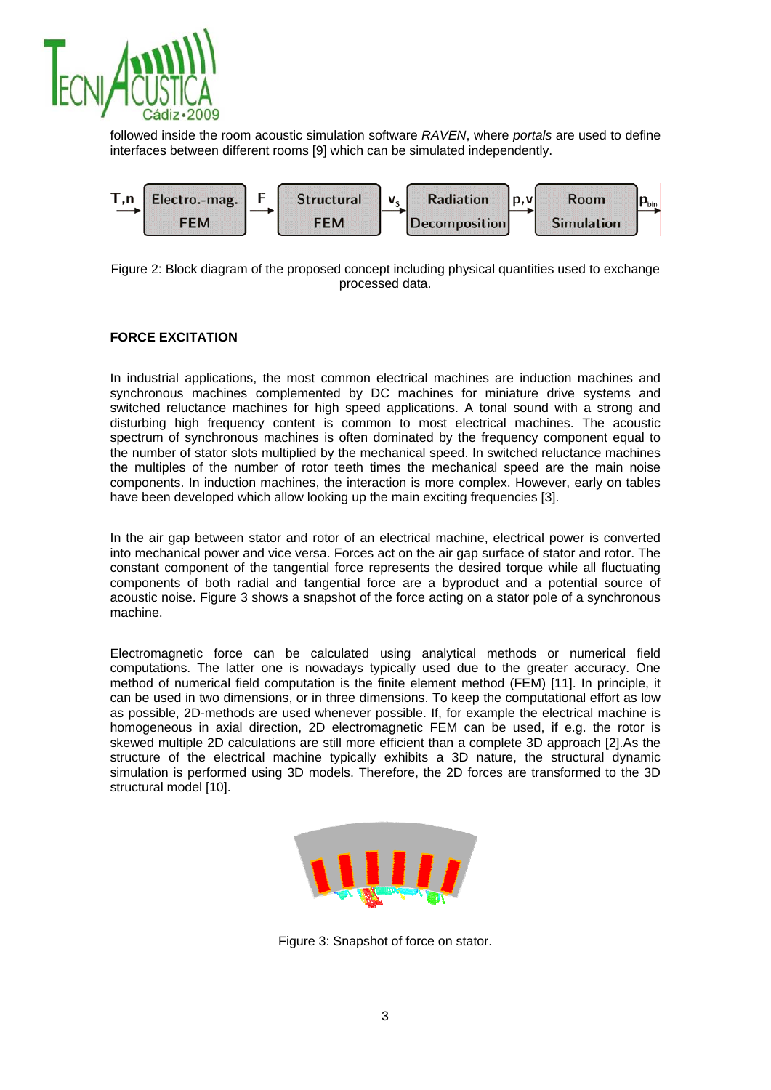

followed inside the room acoustic simulation software *RAVEN*, where *portals* are used to define interfaces between different rooms [9] which can be simulated independently.



Figure 2: Block diagram of the proposed concept including physical quantities used to exchange processed data.

## **FORCE EXCITATION**

In industrial applications, the most common electrical machines are induction machines and synchronous machines complemented by DC machines for miniature drive systems and switched reluctance machines for high speed applications. A tonal sound with a strong and disturbing high frequency content is common to most electrical machines. The acoustic spectrum of synchronous machines is often dominated by the frequency component equal to the number of stator slots multiplied by the mechanical speed. In switched reluctance machines the multiples of the number of rotor teeth times the mechanical speed are the main noise components. In induction machines, the interaction is more complex. However, early on tables have been developed which allow looking up the main exciting frequencies [3].

In the air gap between stator and rotor of an electrical machine, electrical power is converted into mechanical power and vice versa. Forces act on the air gap surface of stator and rotor. The constant component of the tangential force represents the desired torque while all fluctuating components of both radial and tangential force are a byproduct and a potential source of acoustic noise. Figure 3 shows a snapshot of the force acting on a stator pole of a synchronous machine.

Electromagnetic force can be calculated using analytical methods or numerical field computations. The latter one is nowadays typically used due to the greater accuracy. One method of numerical field computation is the finite element method (FEM) [11]. In principle, it can be used in two dimensions, or in three dimensions. To keep the computational effort as low as possible, 2D-methods are used whenever possible. If, for example the electrical machine is homogeneous in axial direction, 2D electromagnetic FEM can be used, if e.g. the rotor is skewed multiple 2D calculations are still more efficient than a complete 3D approach [2].As the structure of the electrical machine typically exhibits a 3D nature, the structural dynamic simulation is performed using 3D models. Therefore, the 2D forces are transformed to the 3D structural model [10].



Figure 3: Snapshot of force on stator.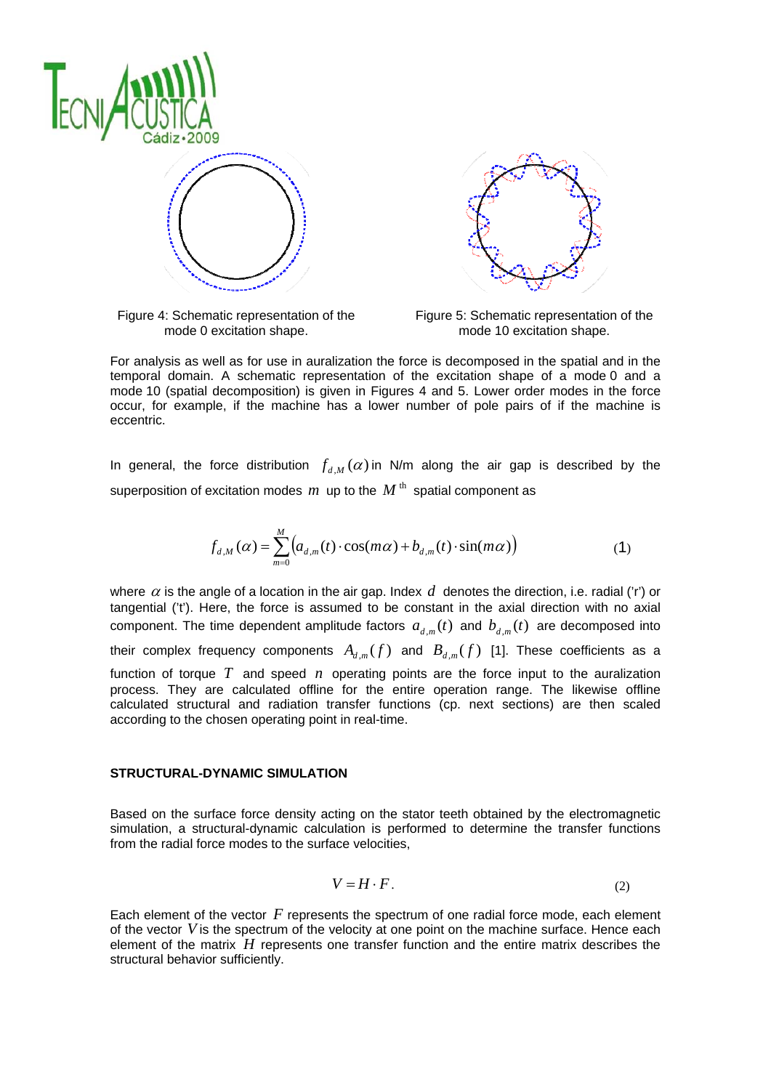



Figure 4: Schematic representation of the mode 0 excitation shape.

Figure 5: Schematic representation of the mode 10 excitation shape.

For analysis as well as for use in auralization the force is decomposed in the spatial and in the temporal domain. A schematic representation of the excitation shape of a mode 0 and a mode 10 (spatial decomposition) is given in Figures 4 and 5. Lower order modes in the force occur, for example, if the machine has a lower number of pole pairs of if the machine is eccentric.

In general, the force distribution  $f_{ d,M}( \alpha )$  in N/m along the air gap is described by the superposition of excitation modes  $m$  up to the  $M$ <sup>th</sup> spatial component as

$$
f_{d,M}(\alpha) = \sum_{m=0}^{M} \left( a_{d,m}(t) \cdot \cos(m\alpha) + b_{d,m}(t) \cdot \sin(m\alpha) \right)
$$
 (1)

where  $\alpha$  is the angle of a location in the air gap. Index  $d$  denotes the direction, i.e. radial ('r') or tangential ('t'). Here, the force is assumed to be constant in the axial direction with no axial component. The time dependent amplitude factors  $a_{d,m}(t)$  and  $b_{d,m}(t)$  are decomposed into their complex frequency components  $A_{d,m}(f)$  and  $B_{d,m}(f)$  [1]. These coefficients as a function of torque *T* and speed *n* operating points are the force input to the auralization process. They are calculated offline for the entire operation range. The likewise offline calculated structural and radiation transfer functions (cp. next sections) are then scaled according to the chosen operating point in real-time.

## **STRUCTURAL-DYNAMIC SIMULATION**

Based on the surface force density acting on the stator teeth obtained by the electromagnetic simulation, a structural-dynamic calculation is performed to determine the transfer functions from the radial force modes to the surface velocities,

$$
V = H \cdot F. \tag{2}
$$

Each element of the vector *F* represents the spectrum of one radial force mode, each element of the vector *V* is the spectrum of the velocity at one point on the machine surface. Hence each element of the matrix *H* represents one transfer function and the entire matrix describes the structural behavior sufficiently.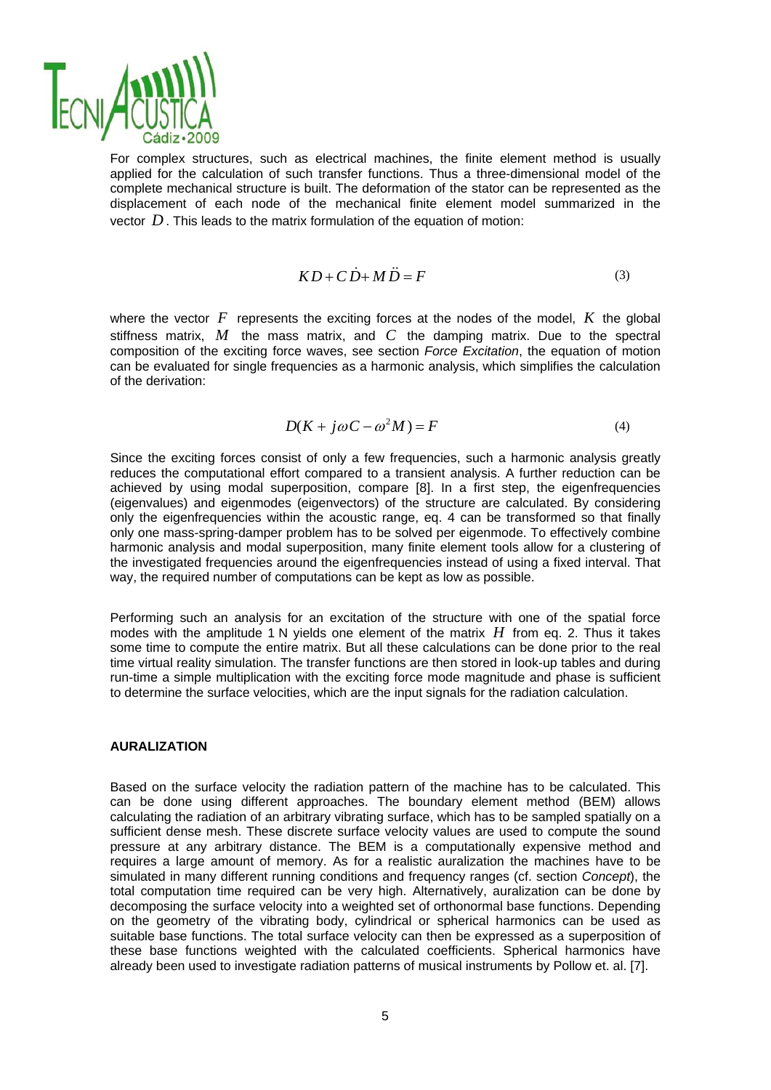

For complex structures, such as electrical machines, the finite element method is usually applied for the calculation of such transfer functions. Thus a three-dimensional model of the complete mechanical structure is built. The deformation of the stator can be represented as the displacement of each node of the mechanical finite element model summarized in the vector *D* . This leads to the matrix formulation of the equation of motion:

$$
KD + C\dot{D} + M\ddot{D} = F \tag{3}
$$

where the vector  $F$  represents the exciting forces at the nodes of the model,  $K$  the global stiffness matrix, *M* the mass matrix, and *C* the damping matrix. Due to the spectral composition of the exciting force waves, see section *Force Excitation*, the equation of motion can be evaluated for single frequencies as a harmonic analysis, which simplifies the calculation of the derivation:

$$
D(K + j\omega C - \omega^2 M) = F \tag{4}
$$

Since the exciting forces consist of only a few frequencies, such a harmonic analysis greatly reduces the computational effort compared to a transient analysis. A further reduction can be achieved by using modal superposition, compare [8]. In a first step, the eigenfrequencies (eigenvalues) and eigenmodes (eigenvectors) of the structure are calculated. By considering only the eigenfrequencies within the acoustic range, eq. 4 can be transformed so that finally only one mass-spring-damper problem has to be solved per eigenmode. To effectively combine harmonic analysis and modal superposition, many finite element tools allow for a clustering of the investigated frequencies around the eigenfrequencies instead of using a fixed interval. That way, the required number of computations can be kept as low as possible.

Performing such an analysis for an excitation of the structure with one of the spatial force modes with the amplitude 1 N yields one element of the matrix *H* from eq. 2. Thus it takes some time to compute the entire matrix. But all these calculations can be done prior to the real time virtual reality simulation. The transfer functions are then stored in look-up tables and during run-time a simple multiplication with the exciting force mode magnitude and phase is sufficient to determine the surface velocities, which are the input signals for the radiation calculation.

## **AURALIZATION**

Based on the surface velocity the radiation pattern of the machine has to be calculated. This can be done using different approaches. The boundary element method (BEM) allows calculating the radiation of an arbitrary vibrating surface, which has to be sampled spatially on a sufficient dense mesh. These discrete surface velocity values are used to compute the sound pressure at any arbitrary distance. The BEM is a computationally expensive method and requires a large amount of memory. As for a realistic auralization the machines have to be simulated in many different running conditions and frequency ranges (cf. section *Concept*), the total computation time required can be very high. Alternatively, auralization can be done by decomposing the surface velocity into a weighted set of orthonormal base functions. Depending on the geometry of the vibrating body, cylindrical or spherical harmonics can be used as suitable base functions. The total surface velocity can then be expressed as a superposition of these base functions weighted with the calculated coefficients. Spherical harmonics have already been used to investigate radiation patterns of musical instruments by Pollow et. al. [7].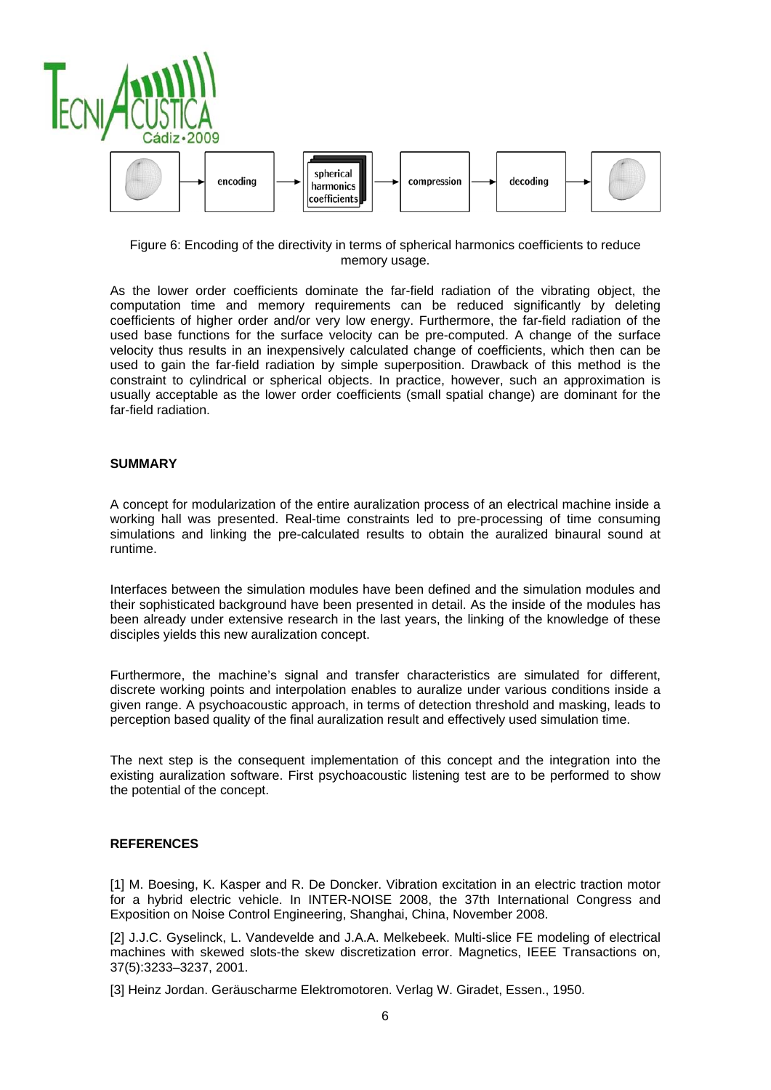

Figure 6: Encoding of the directivity in terms of spherical harmonics coefficients to reduce memory usage.

As the lower order coefficients dominate the far-field radiation of the vibrating object, the computation time and memory requirements can be reduced significantly by deleting coefficients of higher order and/or very low energy. Furthermore, the far-field radiation of the used base functions for the surface velocity can be pre-computed. A change of the surface velocity thus results in an inexpensively calculated change of coefficients, which then can be used to gain the far-field radiation by simple superposition. Drawback of this method is the constraint to cylindrical or spherical objects. In practice, however, such an approximation is usually acceptable as the lower order coefficients (small spatial change) are dominant for the far-field radiation.

#### **SUMMARY**

A concept for modularization of the entire auralization process of an electrical machine inside a working hall was presented. Real-time constraints led to pre-processing of time consuming simulations and linking the pre-calculated results to obtain the auralized binaural sound at runtime.

Interfaces between the simulation modules have been defined and the simulation modules and their sophisticated background have been presented in detail. As the inside of the modules has been already under extensive research in the last years, the linking of the knowledge of these disciples yields this new auralization concept.

Furthermore, the machine's signal and transfer characteristics are simulated for different, discrete working points and interpolation enables to auralize under various conditions inside a given range. A psychoacoustic approach, in terms of detection threshold and masking, leads to perception based quality of the final auralization result and effectively used simulation time.

The next step is the consequent implementation of this concept and the integration into the existing auralization software. First psychoacoustic listening test are to be performed to show the potential of the concept.

## **REFERENCES**

[1] M. Boesing, K. Kasper and R. De Doncker. Vibration excitation in an electric traction motor for a hybrid electric vehicle. In INTER-NOISE 2008, the 37th International Congress and Exposition on Noise Control Engineering, Shanghai, China, November 2008.

[2] J.J.C. Gyselinck, L. Vandevelde and J.A.A. Melkebeek. Multi-slice FE modeling of electrical machines with skewed slots-the skew discretization error. Magnetics, IEEE Transactions on, 37(5):3233–3237, 2001.

[3] Heinz Jordan. Geräuscharme Elektromotoren. Verlag W. Giradet, Essen., 1950.